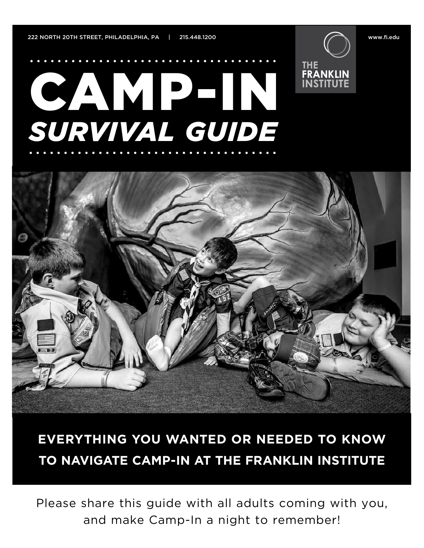**FRANKLIN** 

# CAMPEIN *SURVIVAL GUIDE*



## **EVERYTHING YOU WANTED OR NEEDED TO KNOW TO NAVIGATE CAMP-IN AT THE FRANKLIN INSTITUTE**

Please share this guide with all adults coming with you, and make Camp-In a night to remember!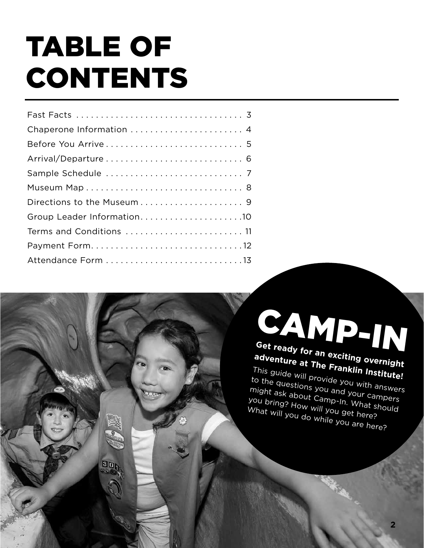# TABLE OF CONTENTS

30

| Chaperone Information  4   |
|----------------------------|
|                            |
|                            |
|                            |
|                            |
|                            |
| Group Leader Information10 |
| Terms and Conditions  11   |
|                            |
|                            |

**Get ready for an exciting overnight**  CAMP-IN

**adventure at The Franklin Institute!** This guide will provide you with answers to the questions you and your campers might ask about Camp-In. What should<br>You bring? How will you campers<br>What will you got I at should What will you do while you are here? you bring? How will you get here?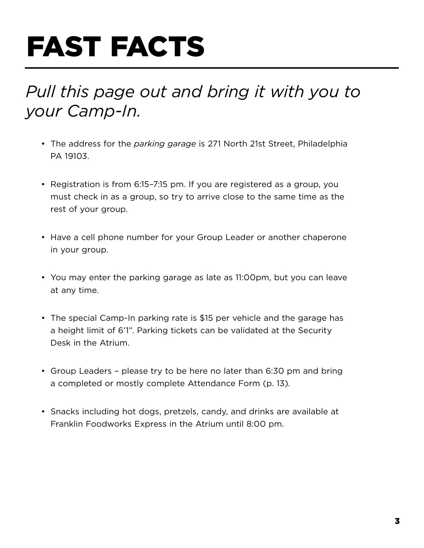# FAST FACTS

## *Pull this page out and bring it with you to your Camp-In.*

- The address for the *parking garage* is 271 North 21st Street, Philadelphia PA 19103.
- Registration is from 6:15–7:15 pm. If you are registered as a group, you must check in as a group, so try to arrive close to the same time as the rest of your group.
- Have a cell phone number for your Group Leader or another chaperone in your group.
- You may enter the parking garage as late as 11:00pm, but you can leave at any time.
- The special Camp-In parking rate is \$15 per vehicle and the garage has a height limit of 6'1". Parking tickets can be validated at the Security Desk in the Atrium.
- Group Leaders please try to be here no later than 6:30 pm and bring a completed or mostly complete Attendance Form (p. 13).
- Snacks including hot dogs, pretzels, candy, and drinks are available at Franklin Foodworks Express in the Atrium until 8:00 pm.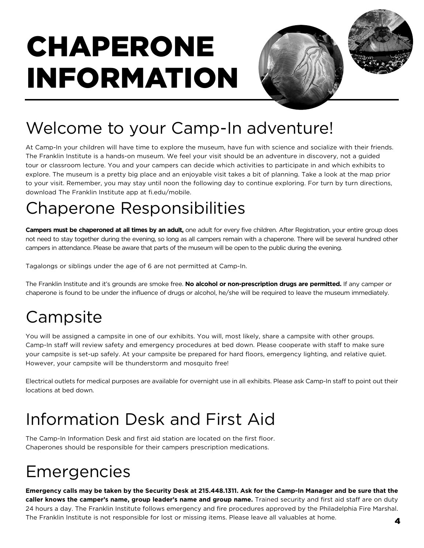# CHAPERONE INFORMATION





## Welcome to your Camp-In adventure!

At Camp-In your children will have time to explore the museum, have fun with science and socialize with their friends. The Franklin Institute is a hands-on museum. We feel your visit should be an adventure in discovery, not a guided tour or classroom lecture. You and your campers can decide which activities to participate in and which exhibits to explore. The museum is a pretty big place and an enjoyable visit takes a bit of planning. Take a look at the map prior to your visit. Remember, you may stay until noon the following day to continue exploring. For turn by turn directions, download The Franklin Institute app at fi.edu/mobile.

## Chaperone Responsibilities

**Campers must be chaperoned at all times by an adult,** one adult for every five children. After Registration, your entire group does not need to stay together during the evening, so long as all campers remain with a chaperone. There will be several hundred other campers in attendance. Please be aware that parts of the museum will be open to the public during the evening.

Tagalongs or siblings under the age of 6 are not permitted at Camp-In.

The Franklin Institute and it's grounds are smoke free. **No alcohol or non-prescription drugs are permitted.** If any camper or chaperone is found to be under the influence of drugs or alcohol, he/she will be required to leave the museum immediately.

## **Campsite**

You will be assigned a campsite in one of our exhibits. You will, most likely, share a campsite with other groups. Camp-In staff will review safety and emergency procedures at bed down. Please cooperate with staff to make sure your campsite is set-up safely. At your campsite be prepared for hard floors, emergency lighting, and relative quiet. However, your campsite will be thunderstorm and mosquito free!

Electrical outlets for medical purposes are available for overnight use in all exhibits. Please ask Camp-In staff to point out their locations at bed down.

## Information Desk and First Aid

The Camp-In Information Desk and first aid station are located on the first floor. Chaperones should be responsible for their campers prescription medications.

## Emergencies

**Emergency calls may be taken by the Security Desk at 215.448.1311. Ask for the Camp-In Manager and be sure that the caller knows the camper's name, group leader's name and group name.** Trained security and first aid staff are on duty 24 hours a day. The Franklin Institute follows emergency and fire procedures approved by the Philadelphia Fire Marshal. The Franklin Institute is not responsible for lost or missing items. Please leave all valuables at home.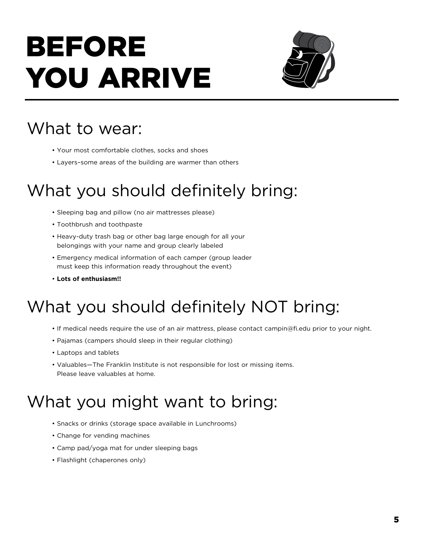# BEFORE YOU ARRIVE



## What to wear:

- Your most comfortable clothes, socks and shoes
- Layers–some areas of the building are warmer than others

## What you should definitely bring:

- Sleeping bag and pillow (no air mattresses please)
- Toothbrush and toothpaste
- Heavy-duty trash bag or other bag large enough for all your belongings with your name and group clearly labeled
- Emergency medical information of each camper (group leader must keep this information ready throughout the event)
- **Lots of enthusiasm!!**

## What you should definitely NOT bring:

- If medical needs require the use of an air mattress, please contact campin@fi.edu prior to your night.
- Pajamas (campers should sleep in their regular clothing)
- Laptops and tablets
- Valuables—The Franklin Institute is not responsible for lost or missing items. Please leave valuables at home.

## What you might want to bring:

- Snacks or drinks (storage space available in Lunchrooms)
- Change for vending machines
- Camp pad/yoga mat for under sleeping bags
- Flashlight (chaperones only)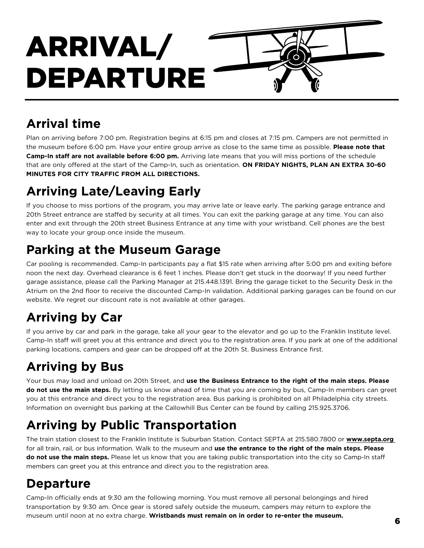# ARRIVAL/ DEPARTURE

### **Arrival time**

Plan on arriving before 7:00 pm. Registration begins at 6:15 pm and closes at 7:15 pm. Campers are not permitted in the museum before 6:00 pm. Have your entire group arrive as close to the same time as possible. **Please note that Camp-In staff are not available before 6:00 pm.** Arriving late means that you will miss portions of the schedule that are only offered at the start of the Camp-In, such as orientation. **ON FRIDAY NIGHTS, PLAN AN EXTRA 30-60 MINUTES FOR CITY TRAFFIC FROM ALL DIRECTIONS.** 

### **Arriving Late/Leaving Early**

If you choose to miss portions of the program, you may arrive late or leave early. The parking garage entrance and 20th Street entrance are staffed by security at all times. You can exit the parking garage at any time. You can also enter and exit through the 20th street Business Entrance at any time with your wristband. Cell phones are the best way to locate your group once inside the museum.

### **Parking at the Museum Garage**

Car pooling is recommended. Camp-In participants pay a flat \$15 rate when arriving after 5:00 pm and exiting before noon the next day. Overhead clearance is 6 feet 1 inches. Please don't get stuck in the doorway! If you need further garage assistance, please call the Parking Manager at 215.448.1391. Bring the garage ticket to the Security Desk in the Atrium on the 2nd floor to receive the discounted Camp-In validation. Additional parking garages can be found on our website. We regret our discount rate is not available at other garages.

## **Arriving by Car**

If you arrive by car and park in the garage, take all your gear to the elevator and go up to the Franklin Institute level. Camp-In staff will greet you at this entrance and direct you to the registration area. If you park at one of the additional parking locations, campers and gear can be dropped off at the 20th St. Business Entrance first.

## **Arriving by Bus**

Your bus may load and unload on 20th Street, and **use the Business Entrance to the right of the main steps. Please do not use the main steps.** By letting us know ahead of time that you are coming by bus, Camp-In members can greet you at this entrance and direct you to the registration area. Bus parking is prohibited on all Philadelphia city streets. Information on overnight bus parking at the Callowhill Bus Center can be found by calling 215.925.3706.

### **Arriving by Public Transportation**

The train station closest to the Franklin Institute is Suburban Station. Contact SEPTA at 215.580.7800 or **www.septa.org**  for all train, rail, or bus information. Walk to the museum and **use the entrance to the right of the main steps. Please do not use the main steps.** Please let us know that you are taking public transportation into the city so Camp-In staff members can greet you at this entrance and direct you to the registration area.

### **Departure**

Camp-In officially ends at 9:30 am the following morning. You must remove all personal belongings and hired transportation by 9:30 am. Once gear is stored safely outside the museum, campers may return to explore the museum until noon at no extra charge. **Wristbands must remain on in order to re-enter the museum.** <sup>6</sup>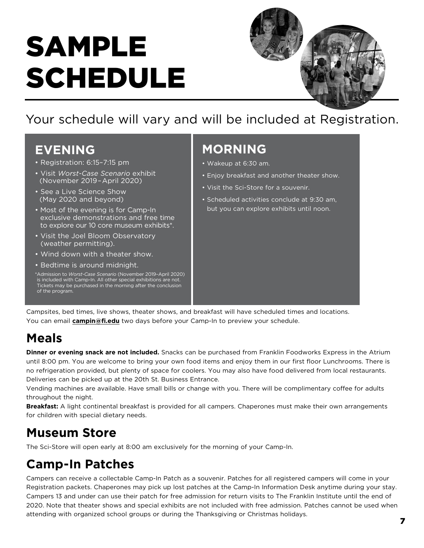# SAMPLE SCHEDULE



Your schedule will vary and will be included at Registration.

### **EVENING**

- Registration: 6:15–7:15 pm
- Visit *Worst-Case Scenario* exhibit (November 2019–April 2020)
- See a Live Science Show (May 2020 and beyond)
- Most of the evening is for Camp-In exclusive demonstrations and free time to explore our 10 core museum exhibits\*.
- Visit the Joel Bloom Observatory (weather permitting).
- Wind down with a theater show.
- Bedtime is around midnight.

\*Admission to *Worst-Case Scenario* (November 2019–April 2020) is included with Camp-In. All other special exhibitions are not. Tickets may be purchased in the morning after the conclusion of the program.

### **MORNING**

- Wakeup at 6:30 am.
- Enjoy breakfast and another theater show.
- Visit the Sci-Store for a souvenir.
- Scheduled activities conclude at 9:30 am, but you can explore exhibits until noon.

Campsites, bed times, live shows, theater shows, and breakfast will have scheduled times and locations. You can email **campin@fi.edu** two days before your Camp-In to preview your schedule.

### **Meals**

Dinner or evening snack are not included. Snacks can be purchased from Franklin Foodworks Express in the Atrium until 8:00 pm. You are welcome to bring your own food items and enjoy them in our first floor Lunchrooms. There is no refrigeration provided, but plenty of space for coolers. You may also have food delivered from local restaurants. Deliveries can be picked up at the 20th St. Business Entrance.

Vending machines are available. Have small bills or change with you. There will be complimentary coffee for adults throughout the night.

Breakfast: A light continental breakfast is provided for all campers. Chaperones must make their own arrangements for children with special dietary needs.

### **Museum Store**

The Sci-Store will open early at 8:00 am exclusively for the morning of your Camp-In.

### **Camp-In Patches**

Campers can receive a collectable Camp-In Patch as a souvenir. Patches for all registered campers will come in your Registration packets. Chaperones may pick up lost patches at the Camp-In Information Desk anytime during your stay. Campers 13 and under can use their patch for free admission for return visits to The Franklin Institute until the end of 2020. Note that theater shows and special exhibits are not included with free admission. Patches cannot be used when attending with organized school groups or during the Thanksgiving or Christmas holidays.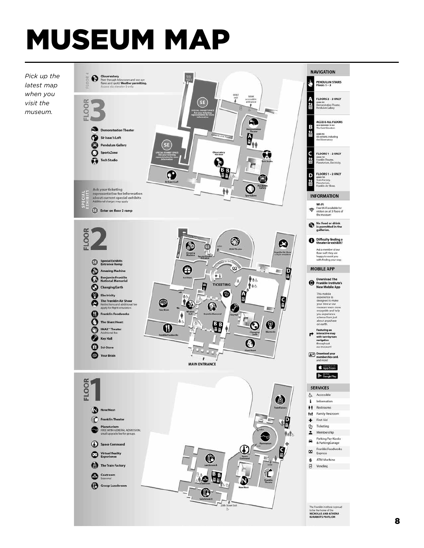# MUSEUM MAP



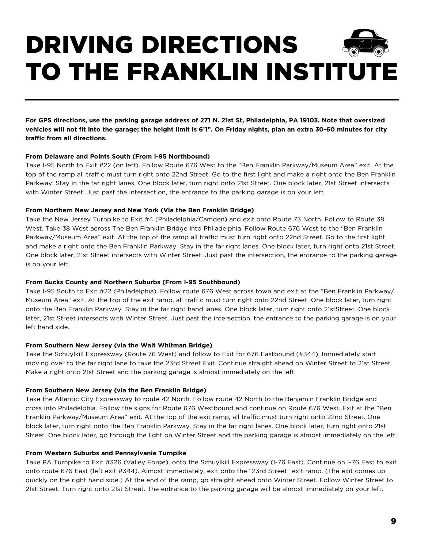# DRIVING DIRECTIONS TO THE FRANKLIN INSTITUTE

**For GPS directions, use the parking garage address of 271 N. 21st St, Philadelphia, PA 19103. Note that oversized vehicles will not fit into the garage; the height limit is 6'1". On Friday nights, plan an extra 30-60 minutes for city traffic from all directions.**

#### **From Delaware and Points South (From I-95 Northbound)**

Take I-95 North to Exit #22 (on left). Follow Route 676 West to the "Ben Franklin Parkway/Museum Area" exit. At the top of the ramp all traffic must turn right onto 22nd Street. Go to the first light and make a right onto the Ben Franklin Parkway. Stay in the far right lanes. One block later, turn right onto 21st Street. One block later, 21st Street intersects with Winter Street. Just past the intersection, the entrance to the parking garage is on your left.

#### **From Northern New Jersey and New York (Via the Ben Franklin Bridge)**

Take the New Jersey Turnpike to Exit #4 (Philadelphia/Camden) and exit onto Route 73 North. Follow to Route 38 West. Take 38 West across The Ben Franklin Bridge into Philadelphia. Follow Route 676 West to the "Ben Franklin Parkway/Museum Area" exit. At the top of the ramp all traffic must turn right onto 22nd Street. Go to the first light and make a right onto the Ben Franklin Parkway. Stay in the far right lanes. One block later, turn right onto 21st Street. One block later, 21st Street intersects with Winter Street. Just past the intersection, the entrance to the parking garage is on your left.

#### **From Bucks County and Northern Suburbs (From I-95 Southbound)**

Take I-95 South to Exit #22 (Philadelphia). Follow route 676 West across town and exit at the "Ben Franklin Parkway/ Museum Area" exit. At the top of the exit ramp, all traffic must turn right onto 22nd Street. One block later, turn right onto the Ben Franklin Parkway. Stay in the far right hand lanes. One block later, turn right onto 21stStreet. One block later, 21st Street intersects with Winter Street. Just past the intersection, the entrance to the parking garage is on your left hand side.

#### **From Southern New Jersey (via the Walt Whitman Bridge)**

Take the Schuylkill Expressway (Route 76 West) and follow to Exit for 676 Eastbound (#344). Immediately start moving over to the far right lane to take the 23rd Street Exit. Continue straight ahead on Winter Street to 21st Street. Make a right onto 21st Street and the parking garage is almost immediately on the left.

#### **From Southern New Jersey (via the Ben Franklin Bridge)**

Take the Atlantic City Expressway to route 42 North. Follow route 42 North to the Benjamin Franklin Bridge and cross into Philadelphia. Follow the signs for Route 676 Westbound and continue on Route 676 West. Exit at the "Ben Franklin Parkway/Museum Area" exit. At the top of the exit ramp, all traffic must turn right onto 22nd Street. One block later, turn right onto the Ben Franklin Parkway. Stay in the far right lanes. One block later, turn right onto 21st Street. One block later, go through the light on Winter Street and the parking garage is almost immediately on the left.

#### **From Western Suburbs and Pennsylvania Turnpike**

Take PA Turnpike to Exit #326 (Valley Forge), onto the Schuylkill Expressway (I-76 East). Continue on I-76 East to exit onto route 676 East (left exit #344). Almost immediately, exit onto the "23rd Street" exit ramp. (The exit comes up quickly on the right hand side.) At the end of the ramp, go straight ahead onto Winter Street. Follow Winter Street to 21st Street. Turn right onto 21st Street. The entrance to the parking garage will be almost immediately on your left.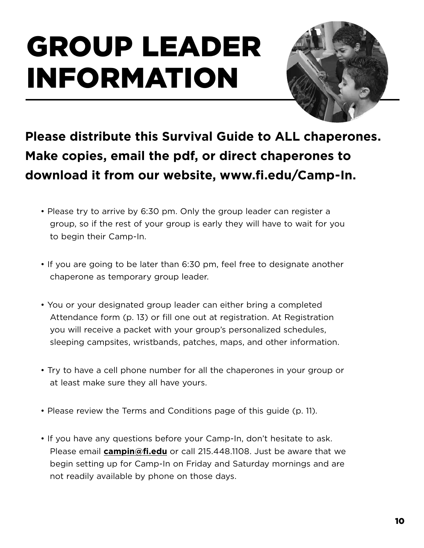# GROUP LEADER INFORMATION



**Please distribute this Survival Guide to ALL chaperones. Make copies, email the pdf, or direct chaperones to download it from our website, www.fi.edu/Camp-In.** 

- Please try to arrive by 6:30 pm. Only the group leader can register a group, so if the rest of your group is early they will have to wait for you to begin their Camp-In.
- If you are going to be later than 6:30 pm, feel free to designate another chaperone as temporary group leader.
- You or your designated group leader can either bring a completed Attendance form (p. 13) or fill one out at registration. At Registration you will receive a packet with your group's personalized schedules, sleeping campsites, wristbands, patches, maps, and other information.
- Try to have a cell phone number for all the chaperones in your group or at least make sure they all have yours.
- Please review the Terms and Conditions page of this guide (p. 11).
- If you have any questions before your Camp-In, don't hesitate to ask. Please email **campin@fi.edu** or call 215.448.1108. Just be aware that we begin setting up for Camp-In on Friday and Saturday mornings and are not readily available by phone on those days.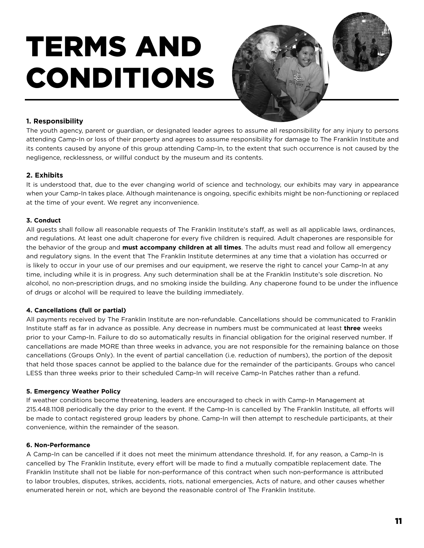# TERMS AND CONDITIONS



#### **1. Responsibility**

The youth agency, parent or guardian, or designated leader agrees to assume all responsibility for any injury to persons attending Camp-In or loss of their property and agrees to assume responsibility for damage to The Franklin Institute and its contents caused by anyone of this group attending Camp-In, to the extent that such occurrence is not caused by the negligence, recklessness, or willful conduct by the museum and its contents.

#### **2. Exhibits**

It is understood that, due to the ever changing world of science and technology, our exhibits may vary in appearance when your Camp-In takes place. Although maintenance is ongoing, specific exhibits might be non-functioning or replaced at the time of your event. We regret any inconvenience.

#### **3. Conduct**

All guests shall follow all reasonable requests of The Franklin Institute's staff, as well as all applicable laws, ordinances, and regulations. At least one adult chaperone for every five children is required. Adult chaperones are responsible for the behavior of the group and **must accompany children at all times**. The adults must read and follow all emergency and regulatory signs. In the event that The Franklin Institute determines at any time that a violation has occurred or is likely to occur in your use of our premises and our equipment, we reserve the right to cancel your Camp-In at any time, including while it is in progress. Any such determination shall be at the Franklin Institute's sole discretion. No alcohol, no non-prescription drugs, and no smoking inside the building. Any chaperone found to be under the influence of drugs or alcohol will be required to leave the building immediately.

#### **4. Cancellations (full or partial)**

All payments received by The Franklin Institute are non-refundable. Cancellations should be communicated to Franklin Institute staff as far in advance as possible. Any decrease in numbers must be communicated at least **three** weeks prior to your Camp-In. Failure to do so automatically results in financial obligation for the original reserved number. If cancellations are made MORE than three weeks in advance, you are not responsible for the remaining balance on those cancellations (Groups Only). In the event of partial cancellation (i.e. reduction of numbers), the portion of the deposit that held those spaces cannot be applied to the balance due for the remainder of the participants. Groups who cancel LESS than three weeks prior to their scheduled Camp-In will receive Camp-In Patches rather than a refund.

#### **5. Emergency Weather Policy**

If weather conditions become threatening, leaders are encouraged to check in with Camp-In Management at 215.448.1108 periodically the day prior to the event. If the Camp-In is cancelled by The Franklin Institute, all efforts will be made to contact registered group leaders by phone. Camp-In will then attempt to reschedule participants, at their convenience, within the remainder of the season.

#### **6. Non-Performance**

A Camp-In can be cancelled if it does not meet the minimum attendance threshold. If, for any reason, a Camp-In is cancelled by The Franklin Institute, every effort will be made to find a mutually compatible replacement date. The Franklin Institute shall not be liable for non-performance of this contract when such non-performance is attributed to labor troubles, disputes, strikes, accidents, riots, national emergencies, Acts of nature, and other causes whether enumerated herein or not, which are beyond the reasonable control of The Franklin Institute.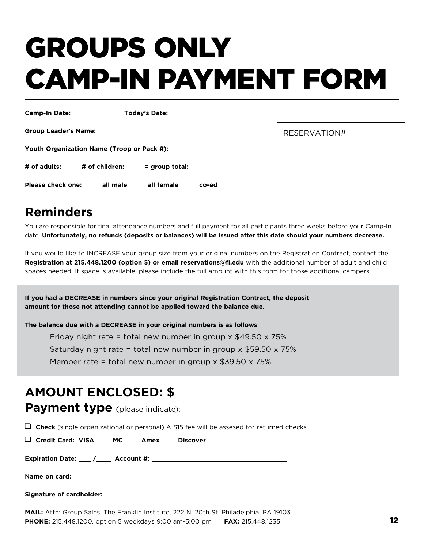# GROUPS ONLY CAMP-IN PAYMENT FORM

|                                            | RESERVATION# |
|--------------------------------------------|--------------|
|                                            |              |
| # of adults: # of children: = group total: |              |

### **Reminders**

You are responsible for final attendance numbers and full payment for all participants three weeks before your Camp-In date. **Unfortunately, no refunds (deposits or balances) will be issued after this date should your numbers decrease.**

If you would like to INCREASE your group size from your original numbers on the Registration Contract, contact the **Registration at 215.448.1200 (option 5) or email reservations@fi.edu** with the additional number of adult and child spaces needed. If space is available, please include the full amount with this form for those additional campers.

**If you had a DECREASE in numbers since your original Registration Contract, the deposit amount for those not attending cannot be applied toward the balance due.** 

**The balance due with a DECREASE in your original numbers is as follows**

Please check one: \_\_\_\_\_ all male \_\_\_\_\_ all female \_\_\_\_\_ co-ed

Friday night rate = total new number in group  $\times$  \$49.50  $\times$  75% Saturday night rate = total new number in group  $\times$  \$59.50  $\times$  75%

Member rate = total new number in group  $\times$  \$39.50  $\times$  75%

### **AMOUNT ENCLOSED: \$**

**Payment type** (please indicate):

**Q** Check (single organizational or personal) A \$15 fee will be assesed for returned checks.

**Q** Credit Card: VISA \_\_\_ MC \_\_\_ Amex \_\_\_ Discover \_\_\_

**Expiration Date: / Account #:** 

**Name on card:** 

**Signature of cardholder:** 

**MAIL:** Attn: Group Sales, The Franklin Institute, 222 N. 20th St. Philadelphia, PA 19103 **PHONE:** 215.448.1200, option 5 weekdays 9:00 am-5:00 pm **FAX:** 215.448.1235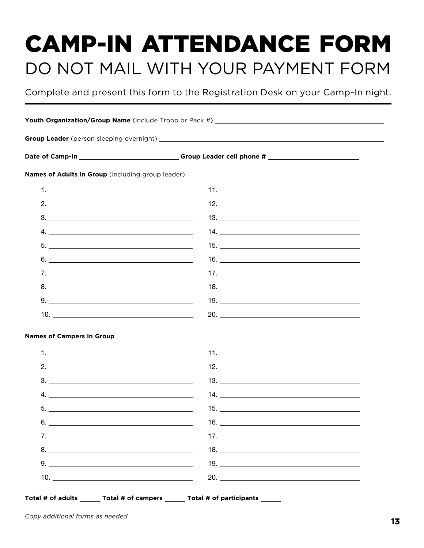# CAMP-IN ATTENDANCE FORM DO NOT MAIL WITH YOUR PAYMENT FORM

Complete and present this form to the Registration Desk on your Camp-In night.

|                                                                                                                                                                                                                                                                                                                                                                                                                                                                                                                 | Date of Camp-In et al. (2011) Contract Computer Contract Computer Computer Computer Computer Computer Computer |  |
|-----------------------------------------------------------------------------------------------------------------------------------------------------------------------------------------------------------------------------------------------------------------------------------------------------------------------------------------------------------------------------------------------------------------------------------------------------------------------------------------------------------------|----------------------------------------------------------------------------------------------------------------|--|
| Names of Adults in Group (including group leader)                                                                                                                                                                                                                                                                                                                                                                                                                                                               |                                                                                                                |  |
|                                                                                                                                                                                                                                                                                                                                                                                                                                                                                                                 |                                                                                                                |  |
| 2. $\overline{\phantom{a}}$                                                                                                                                                                                                                                                                                                                                                                                                                                                                                     |                                                                                                                |  |
| $\begin{array}{c} \n \text{3.} \quad \text{________} \end{array}$                                                                                                                                                                                                                                                                                                                                                                                                                                               |                                                                                                                |  |
| $4. \_$                                                                                                                                                                                                                                                                                                                                                                                                                                                                                                         |                                                                                                                |  |
| $5. \_$                                                                                                                                                                                                                                                                                                                                                                                                                                                                                                         |                                                                                                                |  |
|                                                                                                                                                                                                                                                                                                                                                                                                                                                                                                                 |                                                                                                                |  |
|                                                                                                                                                                                                                                                                                                                                                                                                                                                                                                                 |                                                                                                                |  |
| $8. \begin{tabular}{l} \textbf{8.} \end{tabular}$                                                                                                                                                                                                                                                                                                                                                                                                                                                               |                                                                                                                |  |
| $9. \_$                                                                                                                                                                                                                                                                                                                                                                                                                                                                                                         |                                                                                                                |  |
|                                                                                                                                                                                                                                                                                                                                                                                                                                                                                                                 |                                                                                                                |  |
| <b>Names of Campers in Group</b>                                                                                                                                                                                                                                                                                                                                                                                                                                                                                |                                                                                                                |  |
|                                                                                                                                                                                                                                                                                                                                                                                                                                                                                                                 |                                                                                                                |  |
|                                                                                                                                                                                                                                                                                                                                                                                                                                                                                                                 | $12. \_$                                                                                                       |  |
| $\begin{array}{c} \n \texttt{3.} \quad \texttt{\_} \quad \texttt{\_} \quad \texttt{\_} \quad \texttt{\_} \quad \texttt{\_} \quad \texttt{\_} \quad \texttt{\_} \quad \texttt{\_} \quad \texttt{\_} \quad \texttt{\_} \quad \texttt{\_} \quad \texttt{\_} \quad \texttt{\_} \quad \texttt{\_} \quad \texttt{\_} \quad \texttt{\_} \quad \texttt{\_} \quad \texttt{\_} \quad \texttt{\_} \quad \texttt{\_} \quad \texttt{\_} \quad \texttt{\_} \quad \texttt{\_} \quad \texttt{\_} \quad \texttt{\_} \quad \text$ |                                                                                                                |  |
|                                                                                                                                                                                                                                                                                                                                                                                                                                                                                                                 |                                                                                                                |  |
| $5.$ $\frac{1}{2}$ $\frac{1}{2}$ $\frac{1}{2}$ $\frac{1}{2}$ $\frac{1}{2}$ $\frac{1}{2}$ $\frac{1}{2}$ $\frac{1}{2}$ $\frac{1}{2}$ $\frac{1}{2}$ $\frac{1}{2}$ $\frac{1}{2}$ $\frac{1}{2}$ $\frac{1}{2}$ $\frac{1}{2}$ $\frac{1}{2}$ $\frac{1}{2}$ $\frac{1}{2}$ $\frac{1}{2}$ $\frac{1}{2}$ $\frac{1}{2}$ $\frac{1}{$                                                                                                                                                                                          |                                                                                                                |  |
| 6. $\overline{\phantom{a}}$                                                                                                                                                                                                                                                                                                                                                                                                                                                                                     |                                                                                                                |  |
|                                                                                                                                                                                                                                                                                                                                                                                                                                                                                                                 |                                                                                                                |  |
| $8. \begin{tabular}{l} \textbf{8.} \end{tabular}$                                                                                                                                                                                                                                                                                                                                                                                                                                                               |                                                                                                                |  |
|                                                                                                                                                                                                                                                                                                                                                                                                                                                                                                                 |                                                                                                                |  |
|                                                                                                                                                                                                                                                                                                                                                                                                                                                                                                                 |                                                                                                                |  |